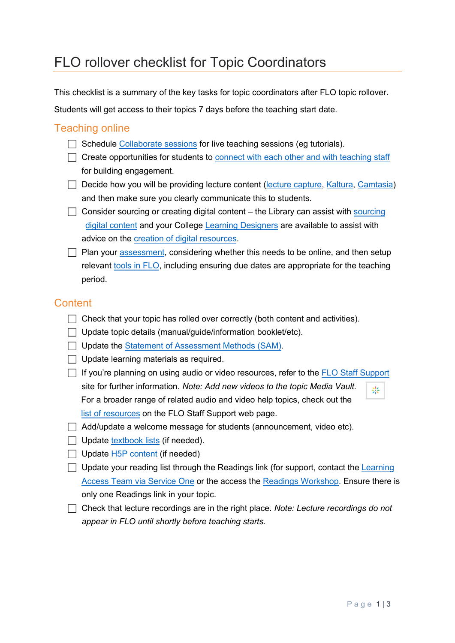# FLO rollover checklist for Topic Coordinators

This checklist is a summary of the key tasks for topic coordinators after FLO topic rollover.

Students will get access to their topics 7 days before the teaching start date.

#### Teaching online

- $\Box$  Schedule [Collaborate sessions](https://flo.flinders.edu.au/mod/glossary/showentry.php?courseid=151&eid=87361&displayformat=dictionary) for live teaching sessions (eg tutorials).
- $\Box$  Create opportunities for students to [connect with each other and with teaching staff](https://blogs.flinders.edu.au/cilt/2020/04/08/online-teaching-social-presence-and-communicating-with-students/) for building engagement.
- $\Box$  Decide how you will be providing lecture content [\(lecture capture,](https://flo.flinders.edu.au/mod/glossary/showentry.php?courseid=151&eid=83713&displayformat=dictionary) [Kaltura,](https://flo.flinders.edu.au/mod/glossary/showentry.php?courseid=151&eid=105973&displayformat=dictionary#KalturaRecorder) [Camtasia\)](https://flo.flinders.edu.au/mod/glossary/showentry.php?courseid=151&eid=105973&displayformat=dictionary#Camtasia) and then make sure you clearly communicate this to students.
- $\Box$  Consider so[urcing](https://flindersuni.service-now.com/csp?id=sc_cat_item&sys_id=41489417dbf38850a42c42a014961953&sysparm_category=84fbcfabdb19f700a42c42a014961908) or creating digital content the Library can assist with sourcing [digital content](https://flindersuni.service-now.com/csp?id=sc_cat_item&sys_id=41489417dbf38850a42c42a014961953&sysparm_category=84fbcfabdb19f700a42c42a014961908) and your College [Learning Designers](https://flindersuni.service-now.com/csp?id=sc_cat_item&sys_id=fbe4086edbf19810c8e096888a9619f6&sysparm_category=84fbcfabdb19f700a42c42a014961908&catalog_id=0f910a2ac3112200b12d9f2974d3ae3c) are available to assist with advice on th[e creation of digital resources.](https://flo.flinders.edu.au/mod/glossary/showentry.php?courseid=151&eid=105968&displayformat=dictionary)
- $\Box$  Plan your [assessment,](https://flo.flinders.edu.au/enrol/index.php?id=63180) considering whether this needs to be online, and then setup relevant [tools in FLO,](https://blogs.flinders.edu.au/cilt/2020/04/22/flo-tools-for-assessment-more-than-just-the-assignment-tool/) including ensuring due dates are appropriate for the teaching period.

### **Content**

- $\Box$  Check that your topic has rolled over correctly (both content and activities).
- $\Box$  Update topic details (manual/quide/information booklet/etc).
- □ Update the Statement [of Assessment Methods \(SAM\).](https://flo.flinders.edu.au/mod/glossary/showentry.php?courseid=151&eid=104522&displayformat=dictionary)
- $\Box$  Update learning materials as required.
- $\Box$  If you're planning on using audio or video resources, refer to the [FLO Staff Support](https://flo.flinders.edu.au/mod/glossary/showentry.php?courseid=151&eid=55782&displayformat=dictionary) site for further information. *Note: Add new videos to the topic Media Vault.* 崇 For a broader range of related audio and video help topics, check out the [list of resources](https://flo.flinders.edu.au/mod/glossary/view.php?id=1865059&mode=cat&hook=2765&sortkey&sortorder=asc&fullsearch=0&page=-1) on the FLO Staff Support web page.
- $\Box$  Add/update a welcome message for students (announcement, video etc).
- $\Box$  Update [textbook lists](https://flindersuni.service-now.com/csp?id=sc_cat_item&sys_id=e71730a7db855090c8e096888a961944&sysparm_category=84fbcfabdb19f700a42c42a014961908) (if needed).
- $\Box$  Update [H5P content](https://flo.flinders.edu.au/mod/glossary/showentry.php?courseid=151&eid=109724&displayformat=dictionary) (if needed)
- $\Box$  Update your reading list through the Readings link (for support, contact the Learning [Access Team via Service One](https://flindersuni.service-now.com/csp?id=sc_cat_item&sys_id=462e9caadbf27300c8e096888a961995&sysparm_category=84fbcfabdb19f700a42c42a014961908) or the access the [Readings Workshop.](https://flo.flinders.edu.au/course/view.php?id=49695) Ensure there is only one Readings link in your topic.
- Check that lecture recordings are in the right place. *Note: Lecture recordings do not appear in FLO until shortly before teaching starts.*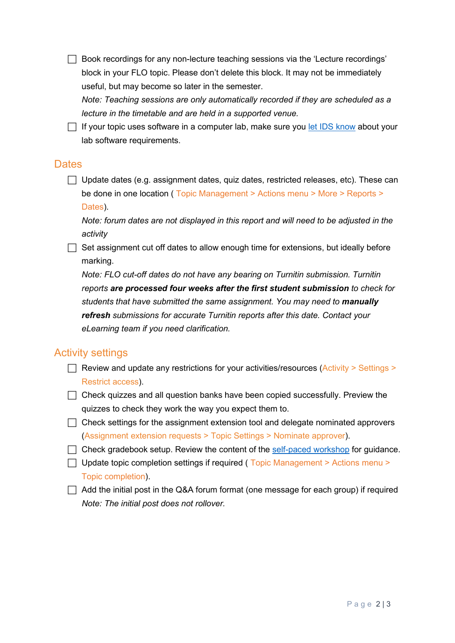$\Box$  Book recordings for any non-lecture teaching sessions via the 'Lecture recordings' block in your FLO topic. Please don't delete this block. It may not be immediately useful, but may become so later in the semester.

*Note: Teaching sessions are only automatically recorded if they are scheduled as a lecture in the timetable and are held in a supported venue.*

 $\Box$  If your topic uses software in a computer lab, make sure you [let IDS know](https://flindersuni.service-now.com/csp?id=sc_cat_item&sys_id=d6132445db1394503c2b7b53f3961946&sysparm_category=a5e6bf72db419c50c8e096888a9619e2) about your lab software requirements.

#### **Dates**

 $\Box$  Update dates (e.g. assignment dates, quiz dates, restricted releases, etc). These can be done in one location ( Topic Management > Actions menu > More > Reports > Dates).

*Note: forum dates are not displayed in this report and will need to be adjusted in the activity*

 $\Box$  Set assignment cut off dates to allow enough time for extensions, but ideally before marking.

*Note: FLO cut-off dates do not have any bearing on Turnitin submission. Turnitin reports are processed four weeks after the first student submission to check for students that have submitted the same assignment. You may need to manually refresh submissions for accurate Turnitin reports after this date. Contact your eLearning team if you need clarification.*

### Activity settings

- Review and update any restrictions for your activities/resources (Activity  $>$  Settings  $>$ Restrict access).
- $\Box$  Check quizzes and all question banks have been copied successfully. Preview the quizzes to check they work the way you expect them to.
- $\Box$  Check settings for the assignment extension tool and delegate nominated approvers (Assignment extension requests > Topic Settings > Nominate approver).
- $\Box$  Check gradebook setup. Review the content of the [self-paced workshop](https://flo.flinders.edu.au/course/view.php?id=63291) for guidance.
- $\Box$  Update topic completion settings if required (Topic Management > Actions menu > Topic completion).
- $\Box$  Add the initial post in the Q&A forum format (one message for each group) if required *Note: The initial post does not rollover.*